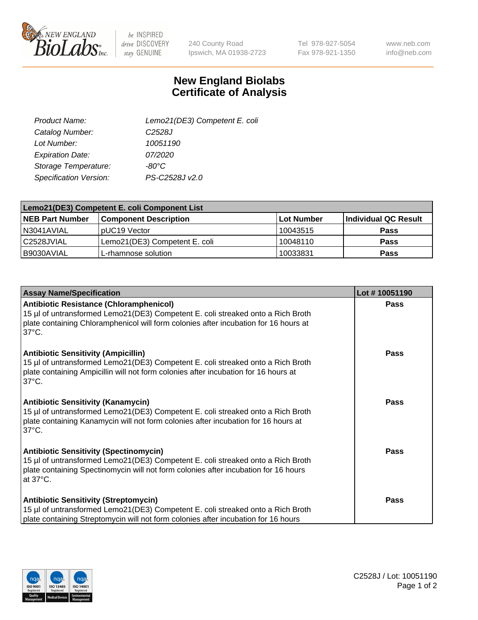

 $be$  INSPIRED drive DISCOVERY stay GENUINE

240 County Road Ipswich, MA 01938-2723 Tel 978-927-5054 Fax 978-921-1350

www.neb.com info@neb.com

## **New England Biolabs Certificate of Analysis**

| Lemo21(DE3) Competent E. coli |
|-------------------------------|
| C <sub>2528</sub> J           |
| 10051190                      |
| 07/2020                       |
| -80°C                         |
| PS-C2528J v2.0                |
|                               |

| Lemo21(DE3) Competent E. coli Component List |                               |                   |                             |  |
|----------------------------------------------|-------------------------------|-------------------|-----------------------------|--|
| <b>NEB Part Number</b>                       | <b>Component Description</b>  | <b>Lot Number</b> | <b>Individual QC Result</b> |  |
| I N3041AVIAL                                 | IpUC19 Vector                 | 10043515          | Pass                        |  |
| C2528JVIAL                                   | Lemo21(DE3) Competent E. coli | 10048110          | <b>Pass</b>                 |  |
| B9030AVIAL                                   | L-rhamnose solution           | 10033831          | <b>Pass</b>                 |  |

| <b>Assay Name/Specification</b>                                                                                                                                                                                                              | Lot #10051190 |
|----------------------------------------------------------------------------------------------------------------------------------------------------------------------------------------------------------------------------------------------|---------------|
| <b>Antibiotic Resistance (Chloramphenicol)</b><br>15 µl of untransformed Lemo21(DE3) Competent E. coli streaked onto a Rich Broth<br>plate containing Chloramphenicol will form colonies after incubation for 16 hours at<br>$37^{\circ}$ C. | Pass          |
| <b>Antibiotic Sensitivity (Ampicillin)</b><br>15 µl of untransformed Lemo21(DE3) Competent E. coli streaked onto a Rich Broth<br>plate containing Ampicillin will not form colonies after incubation for 16 hours at<br>$37^{\circ}$ C.      | Pass          |
| <b>Antibiotic Sensitivity (Kanamycin)</b><br>15 µl of untransformed Lemo21(DE3) Competent E. coli streaked onto a Rich Broth<br>plate containing Kanamycin will not form colonies after incubation for 16 hours at<br>$37^{\circ}$ C.        | <b>Pass</b>   |
| <b>Antibiotic Sensitivity (Spectinomycin)</b><br>15 µl of untransformed Lemo21(DE3) Competent E. coli streaked onto a Rich Broth<br>plate containing Spectinomycin will not form colonies after incubation for 16 hours<br>at 37°C.          | Pass          |
| <b>Antibiotic Sensitivity (Streptomycin)</b><br>15 µl of untransformed Lemo21(DE3) Competent E. coli streaked onto a Rich Broth<br>plate containing Streptomycin will not form colonies after incubation for 16 hours                        | <b>Pass</b>   |